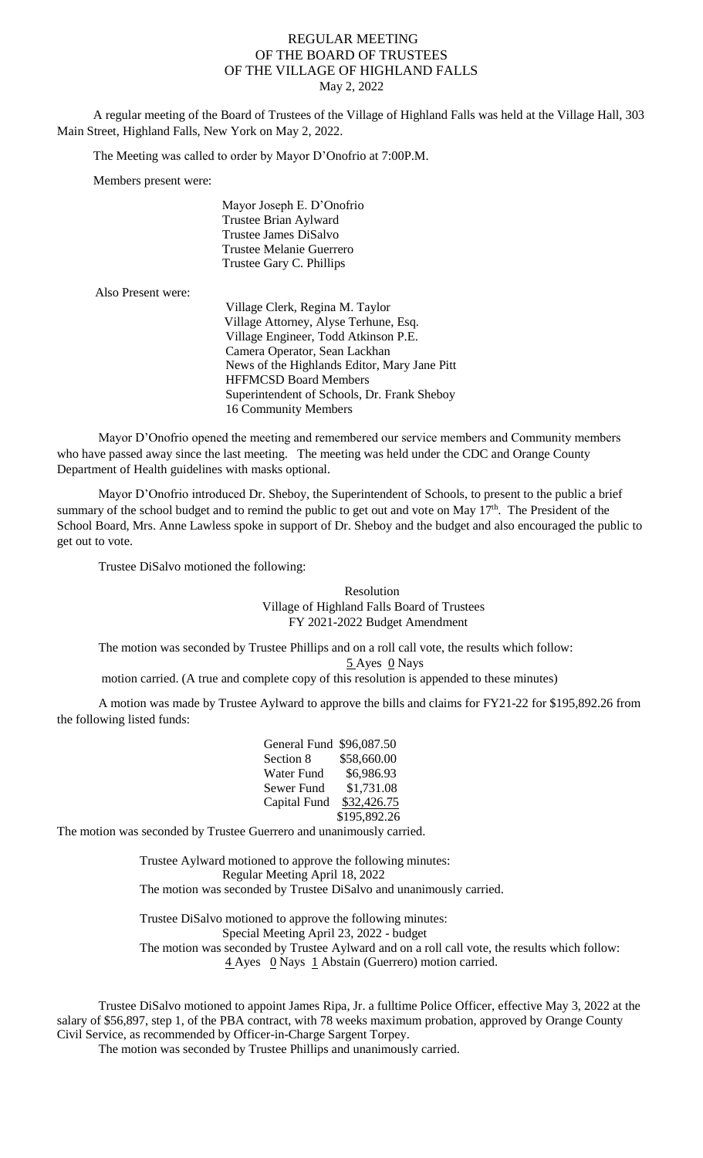## REGULAR MEETING OF THE BOARD OF TRUSTEES OF THE VILLAGE OF HIGHLAND FALLS May 2, 2022

A regular meeting of the Board of Trustees of the Village of Highland Falls was held at the Village Hall, 303 Main Street, Highland Falls, New York on May 2, 2022.

The Meeting was called to order by Mayor D'Onofrio at 7:00P.M.

Members present were:

 Mayor Joseph E. D'Onofrio Trustee Brian Aylward Trustee James DiSalvo Trustee Melanie Guerrero Trustee Gary C. Phillips

| Also Present were: |                                              |
|--------------------|----------------------------------------------|
|                    | Village Clerk, Regina M. Taylor              |
|                    | Village Attorney, Alyse Terhune, Esq.        |
|                    | Village Engineer, Todd Atkinson P.E.         |
|                    | Camera Operator, Sean Lackhan                |
|                    | News of the Highlands Editor, Mary Jane Pitt |
|                    | <b>HFFMCSD Board Members</b>                 |
|                    | Superintendent of Schools, Dr. Frank Sheboy  |
|                    | 16 Community Members                         |
|                    |                                              |

Mayor D'Onofrio opened the meeting and remembered our service members and Community members who have passed away since the last meeting. The meeting was held under the CDC and Orange County Department of Health guidelines with masks optional.

Mayor D'Onofrio introduced Dr. Sheboy, the Superintendent of Schools, to present to the public a brief summary of the school budget and to remind the public to get out and vote on May 17<sup>th</sup>. The President of the School Board, Mrs. Anne Lawless spoke in support of Dr. Sheboy and the budget and also encouraged the public to get out to vote.

Trustee DiSalvo motioned the following:

Resolution Village of Highland Falls Board of Trustees FY 2021-2022 Budget Amendment

The motion was seconded by Trustee Phillips and on a roll call vote, the results which follow:  $5$  Ayes  $0$  Nays

motion carried. (A true and complete copy of this resolution is appended to these minutes)

A motion was made by Trustee Aylward to approve the bills and claims for FY21-22 for \$195,892.26 from the following listed funds:

| General Fund \$96,087.50 |              |
|--------------------------|--------------|
| Section 8                | \$58,660.00  |
| Water Fund               | \$6,986.93   |
| Sewer Fund               | \$1,731.08   |
| Capital Fund             | \$32,426.75  |
|                          | \$195,892.26 |
|                          |              |

The motion was seconded by Trustee Guerrero and unanimously carried.

Trustee Aylward motioned to approve the following minutes: Regular Meeting April 18, 2022 The motion was seconded by Trustee DiSalvo and unanimously carried.

Trustee DiSalvo motioned to approve the following minutes: Special Meeting April 23, 2022 - budget The motion was seconded by Trustee Aylward and on a roll call vote, the results which follow: 4 Ayes 0 Nays 1 Abstain (Guerrero) motion carried.

Trustee DiSalvo motioned to appoint James Ripa, Jr. a fulltime Police Officer, effective May 3, 2022 at the salary of \$56,897, step 1, of the PBA contract, with 78 weeks maximum probation, approved by Orange County Civil Service, as recommended by Officer-in-Charge Sargent Torpey.

The motion was seconded by Trustee Phillips and unanimously carried.